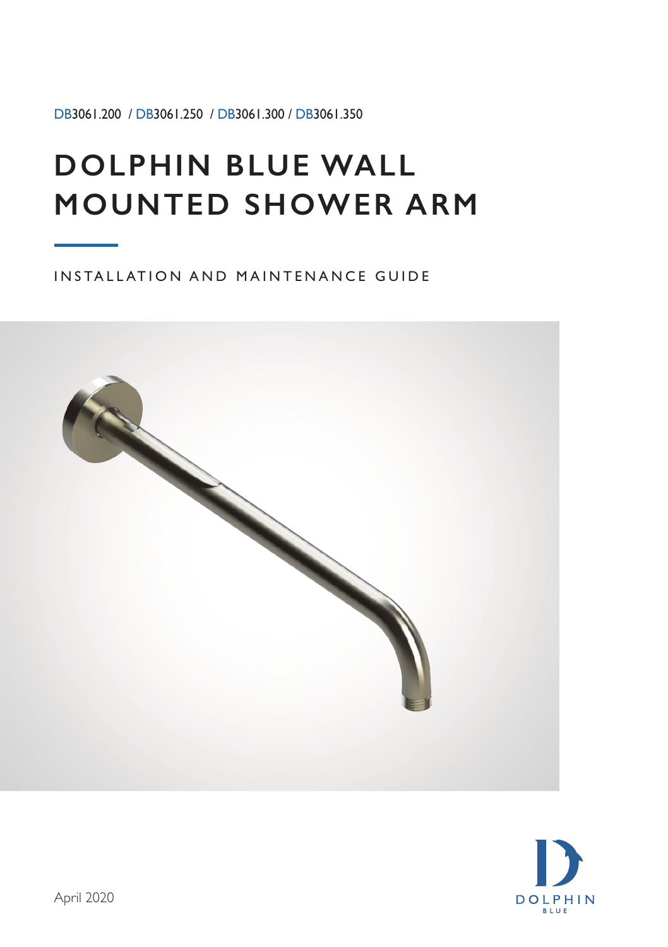DB3061.200 / DB3061.250 / DB3061.300 / DB3061.350

## **DOLPHIN BLUE WALL MOUNTED SHOWER ARM**

INSTALLATION AND MAINTENANCE GUIDE



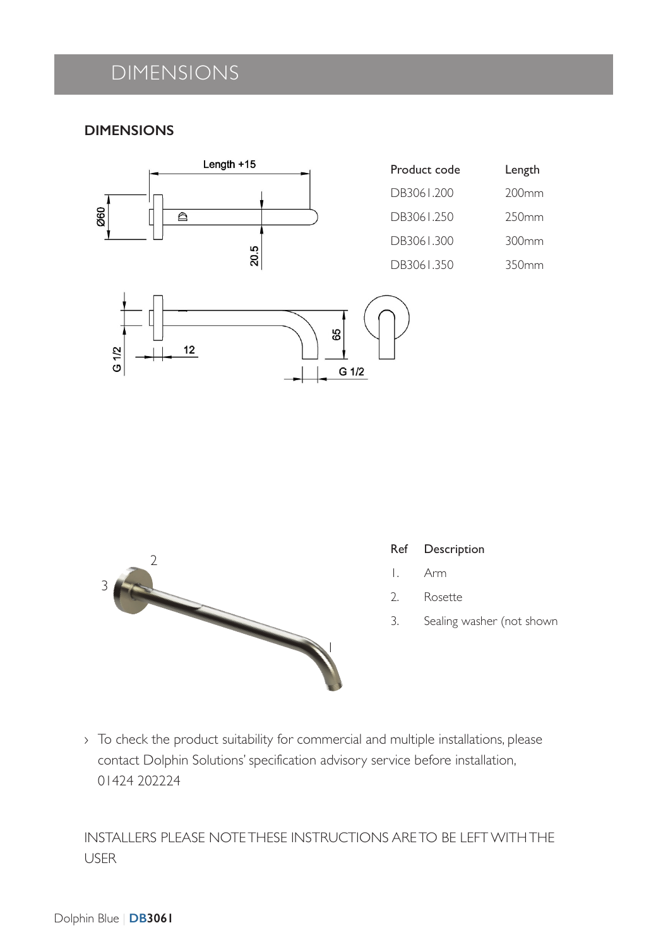## DIMENSIONS

#### **DIMENSIONS**



| Product code | Length            |
|--------------|-------------------|
| DB3061.200   | 200 <sub>mm</sub> |
| DB3061.250   | 250mm             |
| DB3061.300   | 300mm             |
| DB3061.350   | 350mm             |





#### Ref Description

- 1. Arm
- 2. Rosette
- 3. Sealing washer (not shown

› To check the product suitability for commercial and multiple installations, please contact Dolphin Solutions' specification advisory service before installation, 01424 202224

INSTALLERS PLEASE NOTE THESE INSTRUCTIONS ARE TO BE LEFT WITH THE USER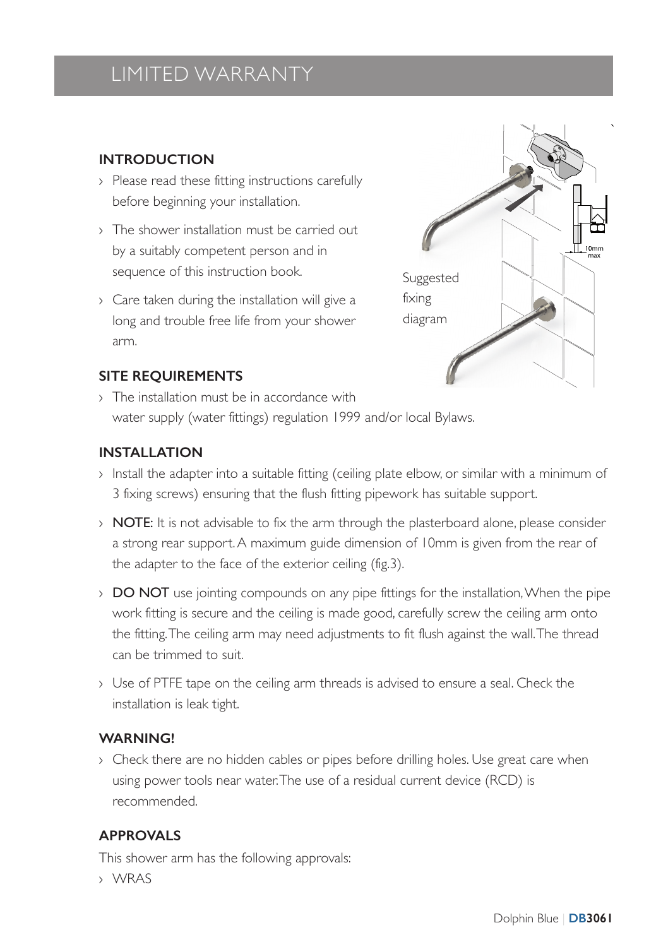## LIMITED WARRANTY

#### **INTRODUCTION**

- › Please read these fitting instructions carefully before beginning your installation.
- › The shower installation must be carried out by a suitably competent person and in sequence of this instruction book.
- › Care taken during the installation will give a long and trouble free life from your shower arm.



#### **SITE REQUIREMENTS**

› The installation must be in accordance with water supply (water fittings) regulation 1999 and/or local Bylaws.

#### **INSTALLATION**

- › Install the adapter into a suitable fitting (ceiling plate elbow, or similar with a minimum of 3 fixing screws) ensuring that the flush fitting pipework has suitable support.
- $\rightarrow$  **NOTE:** It is not advisable to fix the arm through the plasterboard alone, please consider a strong rear support. A maximum guide dimension of 10mm is given from the rear of the adapter to the face of the exterior ceiling (fig.3).
- > DO NOT use jointing compounds on any pipe fittings for the installation, When the pipe work fitting is secure and the ceiling is made good, carefully screw the ceiling arm onto the fitting. The ceiling arm may need adjustments to fit flush against the wall. The thread can be trimmed to suit.
- › Use of PTFE tape on the ceiling arm threads is advised to ensure a seal. Check the installation is leak tight.

#### **WARNING!**

› Check there are no hidden cables or pipes before drilling holes. Use great care when using power tools near water. The use of a residual current device (RCD) is recommended.

#### **APPROVALS**

This shower arm has the following approvals:

› WRAS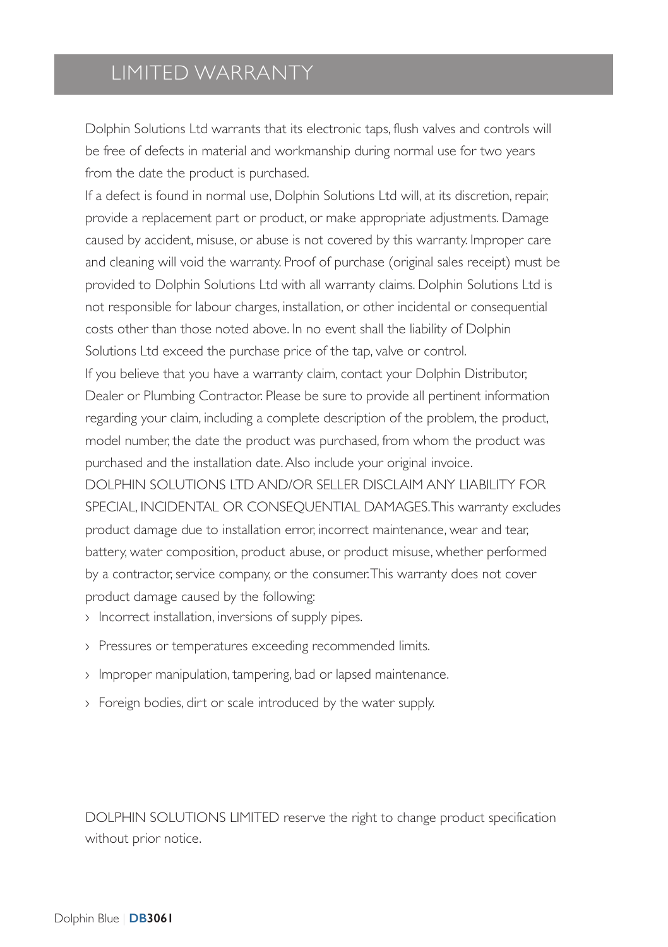### LIMITED WARRANTY

Dolphin Solutions Ltd warrants that its electronic taps, flush valves and controls will be free of defects in material and workmanship during normal use for two years from the date the product is purchased.

If a defect is found in normal use, Dolphin Solutions Ltd will, at its discretion, repair, provide a replacement part or product, or make appropriate adjustments. Damage caused by accident, misuse, or abuse is not covered by this warranty. Improper care and cleaning will void the warranty. Proof of purchase (original sales receipt) must be provided to Dolphin Solutions Ltd with all warranty claims. Dolphin Solutions Ltd is not responsible for labour charges, installation, or other incidental or consequential costs other than those noted above. In no event shall the liability of Dolphin Solutions Ltd exceed the purchase price of the tap, valve or control. If you believe that you have a warranty claim, contact your Dolphin Distributor, Dealer or Plumbing Contractor. Please be sure to provide all pertinent information regarding your claim, including a complete description of the problem, the product, model number, the date the product was purchased, from whom the product was purchased and the installation date. Also include your original invoice. DOLPHIN SOLUTIONS LTD AND/OR SELLER DISCLAIM ANY LIABILITY FOR SPECIAL, INCIDENTAL OR CONSEQUENTIAL DAMAGES. This warranty excludes product damage due to installation error, incorrect maintenance, wear and tear, battery, water composition, product abuse, or product misuse, whether performed by a contractor, service company, or the consumer. This warranty does not cover product damage caused by the following:

- › Incorrect installation, inversions of supply pipes.
- › Pressures or temperatures exceeding recommended limits.
- › Improper manipulation, tampering, bad or lapsed maintenance.
- › Foreign bodies, dirt or scale introduced by the water supply.

DOLPHIN SOLUTIONS LIMITED reserve the right to change product specification without prior notice.